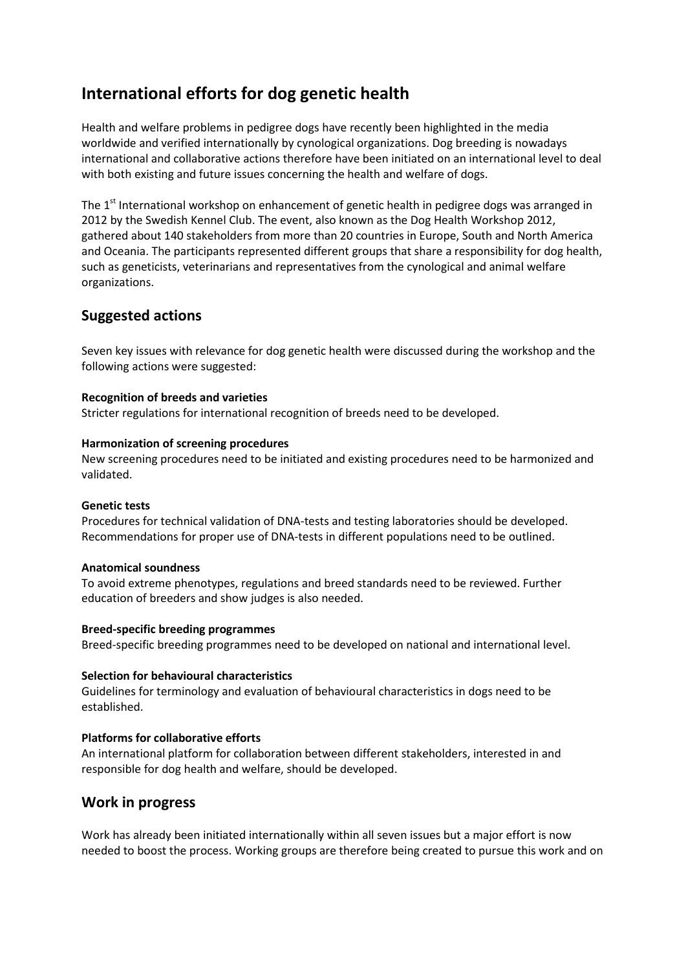# **International efforts for dog genetic health**

Health and welfare problems in pedigree dogs have recently been highlighted in the media worldwide and verified internationally by cynological organizations. Dog breeding is nowadays international and collaborative actions therefore have been initiated on an international level to deal with both existing and future issues concerning the health and welfare of dogs.

The 1<sup>st</sup> International workshop on enhancement of genetic health in pedigree dogs was arranged in 2012 by the Swedish Kennel Club. The event, also known as the Dog Health Workshop 2012, gathered about 140 stakeholders from more than 20 countries in Europe, South and North America and Oceania. The participants represented different groups that share a responsibility for dog health, such as geneticists, veterinarians and representatives from the cynological and animal welfare organizations.

# **Suggested actions**

Seven key issues with relevance for dog genetic health were discussed during the workshop and the following actions were suggested:

#### **Recognition of breeds and varieties**

Stricter regulations for international recognition of breeds need to be developed.

#### **Harmonization of screening procedures**

New screening procedures need to be initiated and existing procedures need to be harmonized and validated.

#### **Genetic tests**

Procedures for technical validation of DNA-tests and testing laboratories should be developed. Recommendations for proper use of DNA-tests in different populations need to be outlined.

#### **Anatomical soundness**

To avoid extreme phenotypes, regulations and breed standards need to be reviewed. Further education of breeders and show judges is also needed.

#### **Breed-specific breeding programmes**

Breed-specific breeding programmes need to be developed on national and international level.

#### **Selection for behavioural characteristics**

Guidelines for terminology and evaluation of behavioural characteristics in dogs need to be established.

#### **Platforms for collaborative efforts**

An international platform for collaboration between different stakeholders, interested in and responsible for dog health and welfare, should be developed.

### **Work in progress**

Work has already been initiated internationally within all seven issues but a major effort is now needed to boost the process. Working groups are therefore being created to pursue this work and on